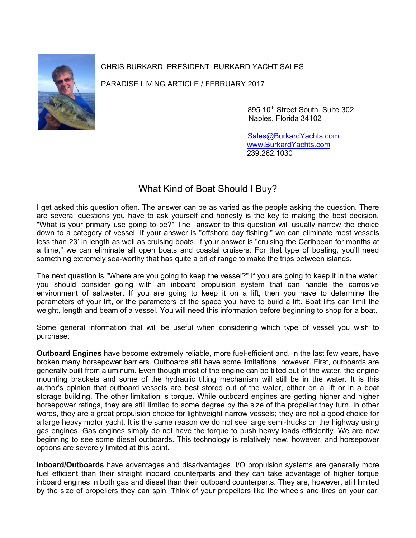

CHRIS BURKARD, PRESIDENT, BURKARD YACHT SALES

PARADISE LIVING ARTICLE / FEBRUARY 2017

895 10th Street South. Suite 302 Naples, Florida 34102

 [Sales@BurkardYachts.com](mailto:Sales@BurkardYachts.com) [www.BurkardYachts.com](http://www.burkardyachts.com/) 239.262.1030

## What Kind of Boat Should I Buy?

I get asked this question often. The answer can be as varied as the people asking the question. There are several questions you have to ask yourself and honesty is the key to making the best decision. "What is your primary use going to be?" The answer to this question will usually narrow the choice down to a category of vessel. If your answer is "offshore day fishing," we can eliminate most vessels less than 23' in length as well as cruising boats. If your answer is "cruising the Caribbean for months at a time," we can eliminate all open boats and coastal cruisers. For that type of boating, you'll need something extremely sea-worthy that has quite a bit of range to make the trips between islands.

The next question is "Where are you going to keep the vessel?" If you are going to keep it in the water, you should consider going with an inboard propulsion system that can handle the corrosive environment of saltwater. If you are going to keep it on a lift, then you have to determine the parameters of your lift, or the parameters of the space you have to build a lift. Boat lifts can limit the weight, length and beam of a vessel. You will need this information before beginning to shop for a boat.

Some general information that will be useful when considering which type of vessel you wish to purchase:

**Outboard Engines** have become extremely reliable, more fuel-efficient and, in the last few years, have broken many horsepower barriers. Outboards still have some limitations, however. First, outboards are generally built from aluminum. Even though most of the engine can be tilted out of the water, the engine mounting brackets and some of the hydraulic tilting mechanism will still be in the water. It is this author's opinion that outboard vessels are best stored out of the water, either on a lift or in a boat storage building. The other limitation is torque. While outboard engines are getting higher and higher horsepower ratings, they are still limited to some degree by the size of the propeller they turn. In other words, they are a great propulsion choice for lightweight narrow vessels; they are not a good choice for a large heavy motor yacht. It is the same reason we do not see large semi-trucks on the highway using gas engines. Gas engines simply do not have the torque to push heavy loads efficiently. We are now beginning to see some diesel outboards. This technology is relatively new, however, and horsepower options are severely limited at this point.

**Inboard/Outboards** have advantages and disadvantages. I/O propulsion systems are generally more fuel efficient than their straight inboard counterparts and they can take advantage of higher torque inboard engines in both gas and diesel than their outboard counterparts. They are, however, still limited by the size of propellers they can spin. Think of your propellers like the wheels and tires on your car.